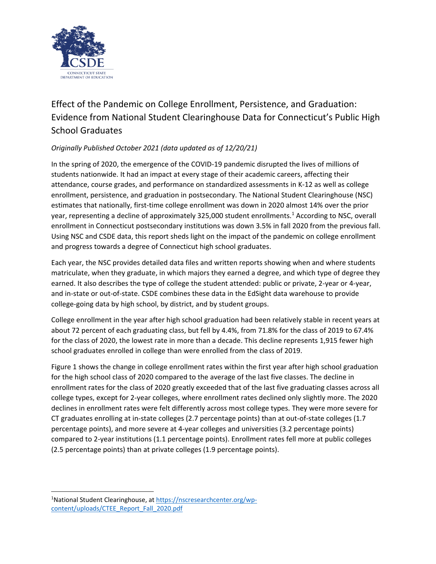

## Effect of the Pandemic on College Enrollment, Persistence, and Graduation: Evidence from National Student Clearinghouse Data for Connecticut's Public High School Graduates

## *Originally Published October 2021 (data updated as of 12/20/21)*

In the spring of 2020, the emergence of the COVID-19 pandemic disrupted the lives of millions of students nationwide. It had an impact at every stage of their academic careers, affecting their attendance, course grades, and performance on standardized assessments in K-12 as well as college enrollment, persistence, and graduation in postsecondary. The National Student Clearinghouse (NSC) estimates that nationally, first-time college enrollment was down in 2020 almost 14% over the prior year, representing a decline of approximately 325,000 student enrollments.<sup>1</sup> According to NSC, overall enrollment in Connecticut postsecondary institutions was down 3.5% in fall 2020 from the previous fall. Using NSC and CSDE data, this report sheds light on the impact of the pandemic on college enrollment and progress towards a degree of Connecticut high school graduates.

Each year, the NSC provides detailed data files and written reports showing when and where students matriculate, when they graduate, in which majors they earned a degree, and which type of degree they earned. It also describes the type of college the student attended: public or private, 2-year or 4-year, and in-state or out-of-state. CSDE combines these data in the EdSight data warehouse to provide college-going data by high school, by district, and by student groups.

College enrollment in the year after high school graduation had been relatively stable in recent years at about 72 percent of each graduating class, but fell by 4.4%, from 71.8% for the class of 2019 to 67.4% for the class of 2020, the lowest rate in more than a decade. This decline represents 1,915 fewer high school graduates enrolled in college than were enrolled from the class of 2019.

Figure 1 shows the change in college enrollment rates within the first year after high school graduation for the high school class of 2020 compared to the average of the last five classes. The decline in enrollment rates for the class of 2020 greatly exceeded that of the last five graduating classes across all college types, except for 2-year colleges, where enrollment rates declined only slightly more. The 2020 declines in enrollment rates were felt differently across most college types. They were more severe for CT graduates enrolling at in-state colleges (2.7 percentage points) than at out-of-state colleges (1.7 percentage points), and more severe at 4-year colleges and universities (3.2 percentage points) compared to 2-year institutions (1.1 percentage points). Enrollment rates fell more at public colleges (2.5 percentage points) than at private colleges (1.9 percentage points).

<sup>1</sup>National Student Clearinghouse, a[t https://nscresearchcenter.org/wp](https://nscresearchcenter.org/wp-content/uploads/CTEE_Report_Fall_2020.pdf)[content/uploads/CTEE\\_Report\\_Fall\\_2020.pdf](https://nscresearchcenter.org/wp-content/uploads/CTEE_Report_Fall_2020.pdf)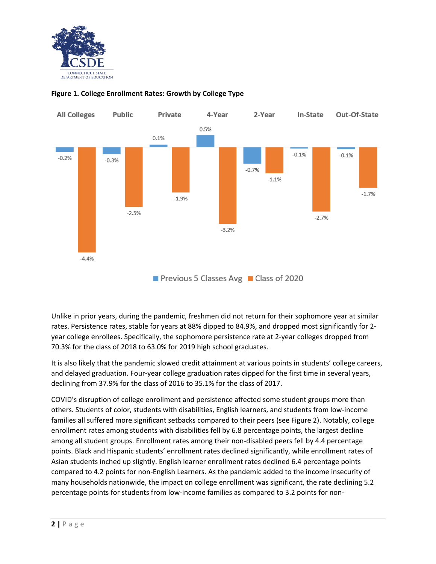



## **Figure 1. College Enrollment Rates: Growth by College Type**

Previous 5 Classes Avg Class of 2020

Unlike in prior years, during the pandemic, freshmen did not return for their sophomore year at similar rates. Persistence rates, stable for years at 88% dipped to 84.9%, and dropped most significantly for 2 year college enrollees. Specifically, the sophomore persistence rate at 2-year colleges dropped from 70.3% for the class of 2018 to 63.0% for 2019 high school graduates.

It is also likely that the pandemic slowed credit attainment at various points in students' college careers, and delayed graduation. Four-year college graduation rates dipped for the first time in several years, declining from 37.9% for the class of 2016 to 35.1% for the class of 2017.

COVID's disruption of college enrollment and persistence affected some student groups more than others. Students of color, students with disabilities, English learners, and students from low-income families all suffered more significant setbacks compared to their peers (see Figure 2). Notably, college enrollment rates among students with disabilities fell by 6.8 percentage points, the largest decline among all student groups. Enrollment rates among their non-disabled peers fell by 4.4 percentage points. Black and Hispanic students' enrollment rates declined significantly, while enrollment rates of Asian students inched up slightly. English learner enrollment rates declined 6.4 percentage points compared to 4.2 points for non-English Learners. As the pandemic added to the income insecurity of many households nationwide, the impact on college enrollment was significant, the rate declining 5.2 percentage points for students from low-income families as compared to 3.2 points for non-